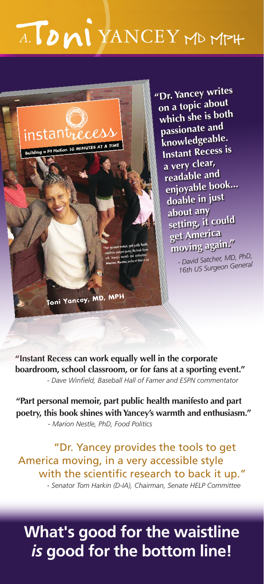## A. DMI YANCEY MD MPH

instantrec 10 MINUTES AT A TIME uilding a Fit Nati .<br>Toni Yancey, MD, MPH

**"Dr. Yancey writes on a topic about which she is both passionate an<sup>d</sup> knowledgeable. Instant Recess is a very clear, readable an<sup>d</sup> enjoyable book... doable in just about any setting, it could get America moving again."** *- David Satcher, MD, PhD,*

 *16th US Surgeon General*

**"Instant Recess can work equally well in the corporate boardroom, school classroom, or for fans at a sporting event."**  *- Dave Winfield, Baseball Hall of Famer and ESPN commentator*

**"Part personal memoir, part public health manifesto and part poetry, this book shines with Yancey's warmth and enthusiasm."**   *- Marion Nestle, PhD, Food Politics*

 "Dr. Yancey provides the tools to get America moving, in a very accessible style with the scientific research to back it up."  *- Senator Tom Harkin (D-IA), Chairman, Senate HELP Committee*

## **What's good for the waistline**  *is* **good for the bottom line!**